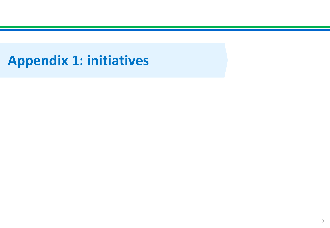## **Appendix 1: initiatives**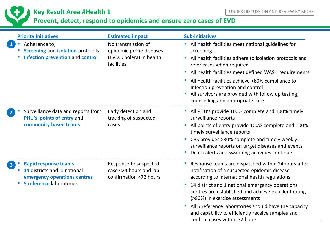**Key Result Area #Health 1 Prevent, detect, respond to epidemics and ensure zero cases of EVD**

| <b>Priority Initiatives</b>                                                                                                                | <b>Estimated impact</b>                                                                 | <b>Sub-initiatives</b>                                                                                                                                                                                                                                                                                                                                                                                                                                                          |
|--------------------------------------------------------------------------------------------------------------------------------------------|-----------------------------------------------------------------------------------------|---------------------------------------------------------------------------------------------------------------------------------------------------------------------------------------------------------------------------------------------------------------------------------------------------------------------------------------------------------------------------------------------------------------------------------------------------------------------------------|
| Adherence to;<br><b>Screening and isolation protocols</b><br>Infection prevention and control                                              | No transmission of<br>epidemic prone diseases<br>(EVD, Cholera) in health<br>facilities | • All health facilities meet national guidelines for<br>screening<br>All health facilities adhere to isolation protocols and<br>refer cases when required<br>All health facilities meet defined WASH requirements<br>All health facilities achieve >80% compliance to<br>Infection prevention and control<br>All survivors are provided with follow up testing,<br>counselling and appropriate care                                                                             |
| Surveillance data and reports from<br>PHU's, points of entry and<br>community based teams                                                  | Early detection and<br>tracking of suspected<br>cases                                   | • All PHU's provide 100% complete and 100% timely<br>surveillance reports<br>All points of entry provide 100% complete and 100%<br>timely surveillance reports<br>CBS provides >80% complete and timely weekly<br>surveillance reports on target diseases and events<br>Death alerts and swabbing activities continue                                                                                                                                                           |
| Rapid response teams<br>$\overline{\mathbf{3}}$<br>14 districts and 1 national<br>emergency operations centres<br>5 reference laboratories | Response to suspected<br>case <24 hours and lab<br>confirmation <72 hours               | Response teams are dispatched within 24 hours after<br>notification of a suspected epidemic disease<br>according to international health regulations<br>14 district and 1 national emergency operations<br>centres are established and achieve excellent rating<br>(>80%) in exercise assessments<br>All 5 reference laboratories should have the capacity<br>$\mathcal{L}_{\mathcal{A}}$<br>and capability to efficiently receive samples and<br>confirm cases within 72 hours |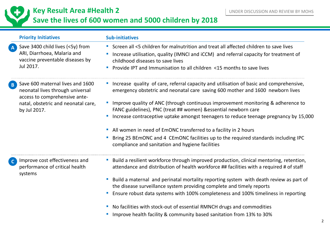**Key Result Area #Health 2 Save the lives of 600 women and 5000 children by 2018** 

|              | <b>Priority Initiatives</b>                                                                                     | <b>Sub-initiatives</b>                                                                                                                                                                                                                                                                      |
|--------------|-----------------------------------------------------------------------------------------------------------------|---------------------------------------------------------------------------------------------------------------------------------------------------------------------------------------------------------------------------------------------------------------------------------------------|
| $\mathbf{A}$ | Save 3400 child lives (<5y) from<br>ARI, Diarrhoea, Malaria and<br>vaccine preventable diseases by<br>Jul 2017. | Screen all <5 children for malnutrition and treat all affected children to save lives<br>Increase utilisation, quality (IMNCI and iCCM) and referral capacity for treatment of<br>childhood diseases to save lives<br>Provide IPT and Immunisation to all children <15 months to save lives |
| $\mathbf{B}$ | Save 600 maternal lives and 1600<br>neonatal lives through universal<br>access to comprehensive ante-           | Increase quality of care, referral capacity and utilisation of basic and comprehensive,<br>emergency obstetric and neonatal care saving 600 mother and 1600 newborn lives                                                                                                                   |
|              | natal, obstetric and neonatal care,<br>by Jul 2017.                                                             | Improve quality of ANC (through continuous improvement monitoring & adherence to<br>FANC guidelines), PNC (treat ## women) & essential newborn care                                                                                                                                         |
|              |                                                                                                                 | Increase contraceptive uptake amongst teenagers to reduce teenage pregnancy by 15,000                                                                                                                                                                                                       |
|              |                                                                                                                 | All women in need of EmONC transferred to a facility in 2 hours                                                                                                                                                                                                                             |
|              |                                                                                                                 | Bring 25 BEmONC and 4 CEmONC facilities up to the required standards including IPC<br>compliance and sanitation and hygiene facilities                                                                                                                                                      |
| $\mathsf{C}$ | Improve cost effectiveness and<br>performance of critical health<br>systems                                     | Build a resilient workforce through improved production, clinical mentoring, retention,<br>$\mathcal{L}_{\mathcal{A}}$<br>attendance and distribution of health workforce ## facilities with a required # of staff                                                                          |
|              |                                                                                                                 | Build a maternal and perinatal mortality reporting system with death review as part of<br>the disease surveillance system providing complete and timely reports                                                                                                                             |
|              |                                                                                                                 |                                                                                                                                                                                                                                                                                             |

- Ensure robust data systems with 100% completeness and 100% timeliness in reporting
- No facilities with stock-out of essential RMNCH drugs and commodities
- **·** Improve health facility & community based sanitation from 13% to 30%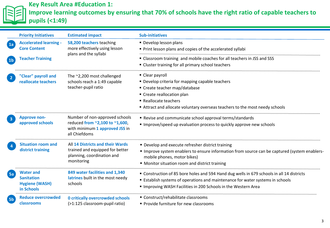

**Key Result Area #Education 1: Improve learning outcomes by ensuring that 70% of schools have the right ratio of capable teachers to pupils (<1:49)** 

|                         | <b>Priority Initiatives</b>                                                  | <b>Estimated impact</b>                                                                                             | <b>Sub-initiatives</b>                                                                                                                                                                                                                    |
|-------------------------|------------------------------------------------------------------------------|---------------------------------------------------------------------------------------------------------------------|-------------------------------------------------------------------------------------------------------------------------------------------------------------------------------------------------------------------------------------------|
| $\sqrt{1a}$             | <b>Accelerated learning -</b><br><b>Core Content</b>                         | 58,200 teachers teaching<br>more effectively using lesson                                                           | • Develop lesson plans<br>Print lesson plans and copies of the accelerated syllabi                                                                                                                                                        |
| 1 <sub>b</sub>          | <b>Teacher Training</b>                                                      | plans and the syllabi                                                                                               | " Classroom training and mobile coaches for all teachers in JSS and SSS<br>• Cluster training for all primary school teachers                                                                                                             |
| $\overline{2}$          | "Clear" payroll and<br>reallocate teachers                                   | The $\approx$ 2,200 most challenged<br>schools reach a 1:49 capable<br>teacher-pupil ratio                          | • Clear payroll<br>• Develop criteria for mapping capable teachers<br>Create teacher map/database<br>Create reallocation plan<br>■ Reallocate teachers<br>Attract and allocate voluntary overseas teachers to the most needy schools      |
| $\overline{\mathbf{3}}$ | <b>Approve non-</b><br>approved schools                                      | Number of non-approved schools<br>reduced from ~2,100 to ~1,600,<br>with minimum 1 approved JSS in<br>all Chiefdoms | Revise and communicate school approval terms/standards<br>Improve/speed up evaluation process to quickly approve new schools                                                                                                              |
| $\overline{4}$          | <b>Situation room and</b><br>district training                               | All 14 Districts and their Wards<br>trained and equipped for better<br>planning, coordination and<br>monitoring     | • Develop and execute refresher district training<br>Improve system enablers to ensure information from source can be captured (system enablers-<br>mobile phones, motor bikes)<br>• Monitor situation room and district training         |
| <b>5a</b>               | <b>Water and</b><br><b>Sanitation</b><br><b>Hygiene (WASH)</b><br>in Schools | 849 water facilities and 1,340<br>latrines built in the most needy<br>schools                                       | " Construction of 85 bore holes and 594 Hand dug wells in 679 schools in all 14 districts<br>Establish systems of operations and maintenance for water systems in schools<br>Improving WASH Facilities in 200 Schools in the Western Area |
| 5b                      | <b>Reduce overcrowded</b><br>classrooms                                      | <b>0 critically overcrowded schools</b><br>(>1:125 classroom-pupil ratio)                                           | ■ Construct/rehabilitate classrooms<br>• Provide furniture for new classrooms                                                                                                                                                             |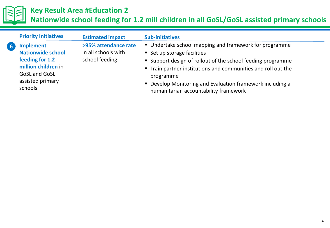

## **Key Result Area #Education 2**

**Nationwide school feeding for 1.2 mill children in all GoSL/GoSL assisted primary schools**

|                  | <b>Priority Initiatives</b>                                                                                                            | <b>Estimated impact</b>                                       | <b>Sub-initiatives</b>                                                                                                                                                                                                                                                                                                                   |
|------------------|----------------------------------------------------------------------------------------------------------------------------------------|---------------------------------------------------------------|------------------------------------------------------------------------------------------------------------------------------------------------------------------------------------------------------------------------------------------------------------------------------------------------------------------------------------------|
| $\boldsymbol{6}$ | <b>Implement</b><br><b>Nationwide school</b><br>feeding for 1.2<br>million children in<br>GoSL and GoSL<br>assisted primary<br>schools | >95% attendance rate<br>in all schools with<br>school feeding | ■ Undertake school mapping and framework for programme<br>• Set up storage facilities<br>• Support design of rollout of the school feeding programme<br>" Train partner institutions and communities and roll out the<br>programme<br>• Develop Monitoring and Evaluation framework including a<br>humanitarian accountability framework |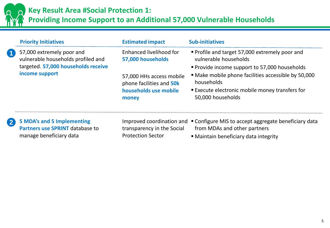

## **Key Result Area #Social Protection 1:**

**Providing Income Support to an Additional 57,000 Vulnerable Households**

|   | <b>Priority Initiatives</b>                                          | <b>Estimated impact</b>                                     | <b>Sub-initiatives</b>                                                                                                                    |
|---|----------------------------------------------------------------------|-------------------------------------------------------------|-------------------------------------------------------------------------------------------------------------------------------------------|
|   | 57,000 extremely poor and<br>vulnerable households profiled and      | Enhanced livelihood for<br>57,000 households                | • Profile and target 57,000 extremely poor and<br>vulnerable households                                                                   |
|   | targeted. 57,000 households receive                                  |                                                             | ■ Provide income support to 57,000 households                                                                                             |
|   | income support                                                       | 57,000 HHs access mobile<br>phone facilities and <b>50k</b> | • Make mobile phone facilities accessible by 50,000<br>households                                                                         |
|   |                                                                      | households use mobile<br>money                              | <b>Execute electronic mobile money transfers for</b><br>50,000 households                                                                 |
|   |                                                                      |                                                             |                                                                                                                                           |
| 2 | <b>5 MDA's and 5 Implementing</b><br>Douthous use CDDINT dotabase to |                                                             | Improved coordination and • Configure MIS to accept aggregate beneficiary data<br>transparance in the Cocial from MDAs and other partners |

**Partners use SPRINT** database to manage beneficiary data

transparency in the Social Protection Sector from MDAs and other partners Maintain beneficiary data integrity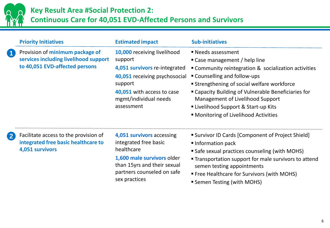

## **Key Result Area #Social Protection 2:**

**Continuous Care for 40,051 EVD-Affected Persons and Survivors**

|              | <b>Priority Initiatives</b>                                                                                | <b>Estimated impact</b>                                                                                                                                                                  | <b>Sub-initiatives</b>                                                                                                                                                                                                                                                                                                                                                 |
|--------------|------------------------------------------------------------------------------------------------------------|------------------------------------------------------------------------------------------------------------------------------------------------------------------------------------------|------------------------------------------------------------------------------------------------------------------------------------------------------------------------------------------------------------------------------------------------------------------------------------------------------------------------------------------------------------------------|
| (1)          | Provision of minimum package of<br>services including livelihood support<br>to 40,051 EVD-affected persons | 10,000 receiving livelihood<br>support<br>4,051 survivors re-integrated<br>40,051 receiving psychosocial<br>support<br>40,051 with access to case<br>mgmt/individual needs<br>assessment | ■ Needs assessment<br>■ Case management / help line<br>■ Community reintegration & socialization activities<br>■ Counselling and follow-ups<br>■ Strengthening of social welfare workforce<br>" Capacity Building of Vulnerable Beneficiaries for<br>Management of Livelihood Support<br>" Livelihood Support & Start-up Kits<br>" Monitoring of Livelihood Activities |
| $\mathbf{2}$ | Facilitate access to the provision of<br>integrated free basic healthcare to<br>4,051 survivors            | 4,051 survivors accessing<br>integrated free basic<br>healthcare<br>1,600 male survivors older<br>than 15yrs and their sexual<br>partners counseled on safe<br>sex practices             | <b>Survivor ID Cards [Component of Project Shield]</b><br>Information pack<br>• Safe sexual practices counseling (with MOHS)<br><b>Transportation support for male survivors to attend</b><br>semen testing appointments<br><b>Free Healthcare for Survivors (with MOHS)</b><br>■ Semen Testing (with MOHS)                                                            |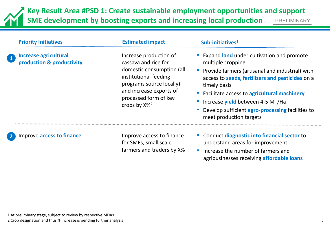**Key Result Area #PSD 1: Create sustainable employment opportunities and support SME development by boosting exports and increasing local production**  PRELIMINARY

| <b>Priority Initiatives</b>  |                           | <b>Estimated impact</b>                                                                                                                                                                                  | Sub-initiatives <sup>1</sup>                                                                                                                                                                                                                                                                                                                                           |
|------------------------------|---------------------------|----------------------------------------------------------------------------------------------------------------------------------------------------------------------------------------------------------|------------------------------------------------------------------------------------------------------------------------------------------------------------------------------------------------------------------------------------------------------------------------------------------------------------------------------------------------------------------------|
| <b>Increase agricultural</b> | production & productivity | Increase production of<br>cassava and rice for<br>domestic consumption (all<br>institutional feeding<br>programs source locally)<br>and increase exports of<br>processed form of key<br>crops by $X\%^2$ | <b>Expand land</b> under cultivation and promote<br>multiple cropping<br>• Provide farmers (artisanal and industrial) with<br>access to seeds, fertilizers and pesticides on a<br>timely basis<br>" Facilitate access to agricultural machinery<br>" Increase yield between 4-5 MT/Ha<br>• Develop sufficient agro-processing facilities to<br>meet production targets |
|                              | Improve access to finance | Improve access to finance<br>for SMEs, small scale<br>farmers and traders by X%                                                                                                                          | " Conduct diagnostic into financial sector to<br>understand areas for improvement<br>Increase the number of farmers and<br>agribusinesses receiving affordable loans                                                                                                                                                                                                   |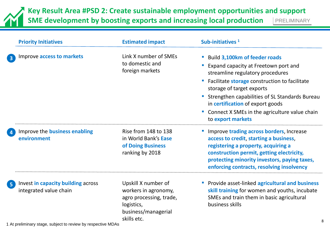**Key Result Area #PSD 2: Create sustainable employment opportunities and support SME development by boosting exports and increasing local production**  PRELIMINARY

| <b>Priority Initiatives</b>                                       | <b>Estimated impact</b>                                                                                                    | Sub-initiatives <sup>1</sup>                                                                                                                                                                                                                                                                                                                                                              |
|-------------------------------------------------------------------|----------------------------------------------------------------------------------------------------------------------------|-------------------------------------------------------------------------------------------------------------------------------------------------------------------------------------------------------------------------------------------------------------------------------------------------------------------------------------------------------------------------------------------|
| Improve access to markets                                         | Link X number of SMEs<br>to domestic and<br>foreign markets                                                                | <b>Build 3,100km of feeder roads</b><br>Expand capacity at Freetown port and<br>$\mathcal{C}$<br>streamline regulatory procedures<br>Facilitate <b>storage</b> construction to facilitate<br>storage of target exports<br>Strengthen capabilities of SL Standards Bureau<br>in <b>certification</b> of export goods<br>Connect X SMEs in the agriculture value chain<br>to export markets |
| Improve the <b>business enabling</b><br>environment               | Rise from 148 to 138<br>in World Bank's Ease<br>of Doing Business<br>ranking by 2018                                       | Improve trading across borders, Increase<br>access to credit, starting a business,<br>registering a property, acquiring a<br>construction permit, getting electricity,<br>protecting minority investors, paying taxes,<br>enforcing contracts, resolving insolvency                                                                                                                       |
| Invest in capacity building across<br>5<br>integrated value chain | Upskill X number of<br>workers in agronomy,<br>agro processing, trade,<br>logistics,<br>business/managerial<br>skills etc. | <b>Provide asset-linked agricultural and business</b><br>skill training for women and youths, incubate<br>SMEs and train them in basic agricultural<br>business skills                                                                                                                                                                                                                    |

1 At preliminary stage, subject to review by respective MDAs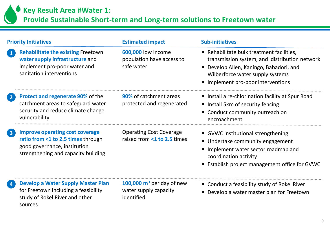**Key Result Area #Water 1:** 

**Provide Sustainable Short-term and Long-term solutions to Freetown water**

|                   | <b>Priority Initiatives</b>                                                                                                                         | <b>Estimated impact</b>                                              | <b>Sub-initiatives</b>                                                                                                                                                                                        |
|-------------------|-----------------------------------------------------------------------------------------------------------------------------------------------------|----------------------------------------------------------------------|---------------------------------------------------------------------------------------------------------------------------------------------------------------------------------------------------------------|
| $\mathbf{1}$      | <b>Rehabilitate the existing Freetown</b><br>water supply infrastructure and<br>implement pro-poor water and<br>sanitation interventions            | <b>600,000 low income</b><br>population have access to<br>safe water | ■ Rehabilitate bulk treatment facilities,<br>transmission system, and distribution network<br>• Develop Allen, Kaningo, Babadori, and<br>Wilberforce water supply systems<br>Implement pro-poor interventions |
| $\left( 2\right)$ | <b>Protect and regenerate 90% of the</b><br>catchment areas to safeguard water<br>security and reduce climate change<br>vulnerability               | <b>90%</b> of catchment areas<br>protected and regenerated           | Install a re-chlorination facility at Spur Road<br>■ Install 5km of security fencing<br>• Conduct community outreach on<br>encroachment                                                                       |
| $\mathbf{3}$      | <b>Improve operating cost coverage</b><br>ratio from <1 to 2.5 times through<br>good governance, institution<br>strengthening and capacity building | <b>Operating Cost Coverage</b><br>raised from <1 to 2.5 times        | GVWC institutional strengthening<br>Undertake community engagement<br>Implement water sector roadmap and<br>coordination activity<br>■ Establish project management office for GVWC                           |
| $\overline{4}$    | <b>Develop a Water Supply Master Plan</b><br>for Freetown including a feasibility<br>study of Rokel River and other<br>sources                      | 100,000 $m^3$ per day of new<br>water supply capacity<br>identified  | • Conduct a feasibility study of Rokel River<br>• Develop a water master plan for Freetown                                                                                                                    |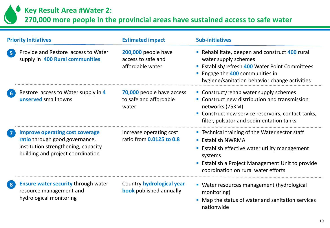**Key Result Area #Water 2:** 

**270,000 more people in the provincial areas have sustained access to safe water** 

|                   | <b>Priority Initiatives</b>                                                                                                                          | <b>Estimated impact</b>                                             | <b>Sub-initiatives</b>                                                                                                                                                                                                                       |
|-------------------|------------------------------------------------------------------------------------------------------------------------------------------------------|---------------------------------------------------------------------|----------------------------------------------------------------------------------------------------------------------------------------------------------------------------------------------------------------------------------------------|
| 5 <sub>5</sub>    | Provide and Restore access to Water<br>supply in 400 Rural communities                                                                               | 200,000 people have<br>access to safe and<br>affordable water       | Rehabilitate, deepen and construct 400 rural<br>water supply schemes<br><b>Establish/refresh 400 Water Point Committees</b><br>Engage the 400 communities in<br>$\mathcal{L}_{\mathcal{A}}$<br>hygiene/sanitation behavior change activities |
| 6                 | Restore access to Water supply in 4<br>unserved small towns                                                                                          | <b>70,000</b> people have access<br>to safe and affordable<br>water | • Construct/rehab water supply schemes<br>Construct new distribution and transmission<br>networks (75KM)<br>• Construct new service reservoirs, contact tanks,<br>filter, pulsator and sedimentation tanks                                   |
| $\sqrt{7}$        | <b>Improve operating cost coverage</b><br>ratio through good governance,<br>institution strengthening, capacity<br>building and project coordination | Increase operating cost<br>ratio from <b>0.0125 to 0.8</b>          | " Technical training of the Water sector staff<br><b>Establish NWRMA</b><br><b>Establish effective water utility management</b><br>systems<br><b>Establish a Project Management Unit to provide</b><br>coordination on rural water efforts   |
| $\left( 8\right)$ | <b>Ensure water security through water</b><br>resource management and<br>hydrological monitoring                                                     | Country hydrological year<br><b>book</b> published annually         | • Water resources management (hydrological<br>monitoring)<br>• Map the status of water and sanitation services<br>nationwide                                                                                                                 |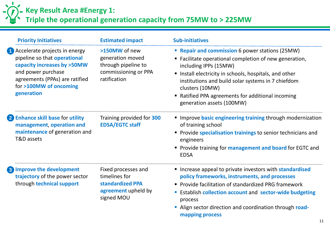**Key Result Area #Energy 1:** 

**Triple the operational generation capacity from 75MW to > 225MW**

| <b>Priority Initiatives</b>                                                                                                                                                                  | <b>Estimated impact</b>                                                                          | <b>Sub-initiatives</b>                                                                                                                                                                                                                                                                                                                                       |
|----------------------------------------------------------------------------------------------------------------------------------------------------------------------------------------------|--------------------------------------------------------------------------------------------------|--------------------------------------------------------------------------------------------------------------------------------------------------------------------------------------------------------------------------------------------------------------------------------------------------------------------------------------------------------------|
| Accelerate projects in energy<br>pipeline so that operational<br>capacity increases by >50MW<br>and power purchase<br>agreements (PPAs) are ratified<br>for >100MW of oncoming<br>generation | >150MW of new<br>generation moved<br>through pipeline to<br>commissioning or PPA<br>ratification | <b>• Repair and commission 6 power stations (25MW)</b><br>" Facilitate operational completion of new generation,<br>including IPPs (15MW)<br>Install electricity in schools, hospitals, and other<br>institutions and build solar systems in 7 chiefdom<br>clusters (10MW)<br>■ Ratified PPA agreements for additional incoming<br>generation assets (100MW) |
| <b>Enhance skill base for utility</b><br>management, operation and<br>maintenance of generation and<br>T&D assets                                                                            | Training provided for 300<br><b>EDSA/EGTC staff</b>                                              | Improve <b>basic engineering training</b> through modernization<br>of training school<br>Provide specialisation trainings to senior technicians and<br>engineers<br>Provide training for management and board for EGTC and<br><b>EDSA</b>                                                                                                                    |
| <b>Improve the development</b><br>trajectory of the power sector<br>through technical support                                                                                                | Fixed processes and<br>timelines for<br>standardized PPA<br>agreement upheld by<br>signed MOU    | Increase appeal to private investors with <b>standardised</b><br>policy frameworks, instruments, and processes<br>• Provide facilitation of standardized PRG framework<br><b>Establish collection account and sector-wide budgeting</b><br>process<br>Align sector direction and coordination through road-<br>mapping process                               |